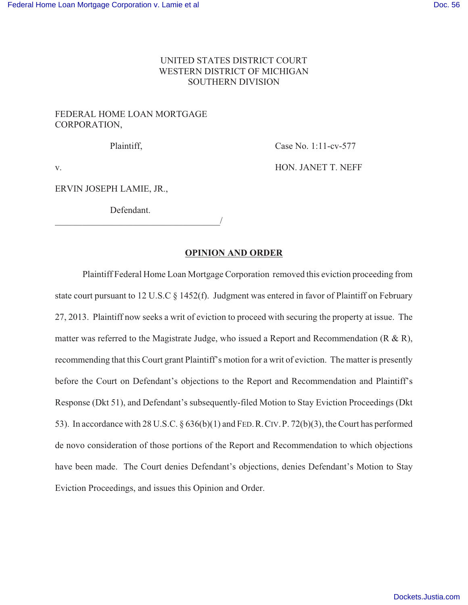## UNITED STATES DISTRICT COURT WESTERN DISTRICT OF MICHIGAN SOUTHERN DIVISION

# FEDERAL HOME LOAN MORTGAGE CORPORATION,

Plaintiff, Case No. 1:11-cv-577

v. BON. JANET T. NEFF

ERVIN JOSEPH LAMIE, JR.,

Defendant.

\_\_\_\_\_\_\_\_\_\_\_\_\_\_\_\_\_\_\_\_\_\_\_\_\_\_\_\_\_\_\_\_\_\_\_\_/

## **OPINION AND ORDER**

Plaintiff Federal Home Loan Mortgage Corporation removed this eviction proceeding from state court pursuant to 12 U.S.C § 1452(f). Judgment was entered in favor of Plaintiff on February 27, 2013. Plaintiff now seeks a writ of eviction to proceed with securing the property at issue. The matter was referred to the Magistrate Judge, who issued a Report and Recommendation (R & R), recommending that this Court grant Plaintiff's motion for a writ of eviction. The matter is presently before the Court on Defendant's objections to the Report and Recommendation and Plaintiff's Response (Dkt 51), and Defendant's subsequently-filed Motion to Stay Eviction Proceedings (Dkt 53). In accordance with 28 U.S.C. § 636(b)(1) and FED.R.CIV.P. 72(b)(3), the Court has performed de novo consideration of those portions of the Report and Recommendation to which objections have been made. The Court denies Defendant's objections, denies Defendant's Motion to Stay Eviction Proceedings, and issues this Opinion and Order.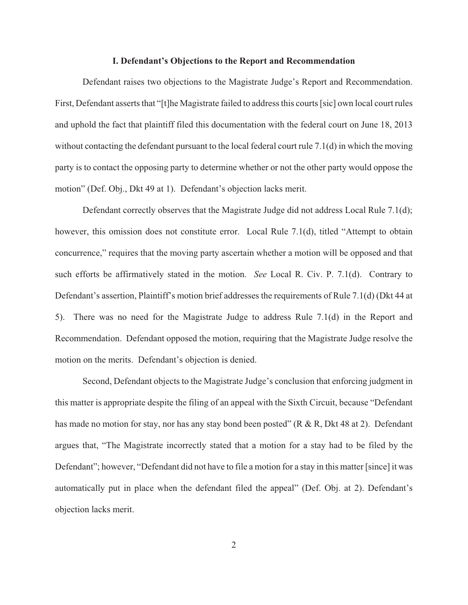#### **I. Defendant's Objections to the Report and Recommendation**

Defendant raises two objections to the Magistrate Judge's Report and Recommendation. First, Defendant asserts that "[t]he Magistrate failed to address this courts [sic] own local court rules and uphold the fact that plaintiff filed this documentation with the federal court on June 18, 2013 without contacting the defendant pursuant to the local federal court rule 7.1(d) in which the moving party is to contact the opposing party to determine whether or not the other party would oppose the motion" (Def. Obj., Dkt 49 at 1). Defendant's objection lacks merit.

Defendant correctly observes that the Magistrate Judge did not address Local Rule 7.1(d); however, this omission does not constitute error. Local Rule 7.1(d), titled "Attempt to obtain concurrence," requires that the moving party ascertain whether a motion will be opposed and that such efforts be affirmatively stated in the motion. *See* Local R. Civ. P. 7.1(d). Contrary to Defendant's assertion, Plaintiff's motion brief addresses the requirements of Rule 7.1(d) (Dkt 44 at 5). There was no need for the Magistrate Judge to address Rule 7.1(d) in the Report and Recommendation. Defendant opposed the motion, requiring that the Magistrate Judge resolve the motion on the merits. Defendant's objection is denied.

Second, Defendant objects to the Magistrate Judge's conclusion that enforcing judgment in this matter is appropriate despite the filing of an appeal with the Sixth Circuit, because "Defendant has made no motion for stay, nor has any stay bond been posted" (R & R, Dkt 48 at 2). Defendant argues that, "The Magistrate incorrectly stated that a motion for a stay had to be filed by the Defendant"; however, "Defendant did not have to file a motion for a stay in this matter [since] it was automatically put in place when the defendant filed the appeal" (Def. Obj. at 2). Defendant's objection lacks merit.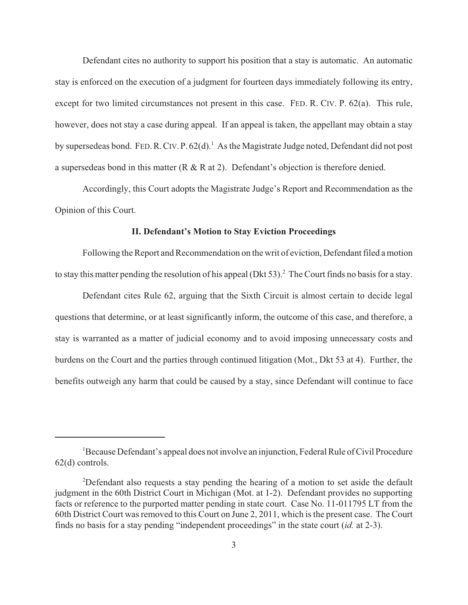Defendant cites no authority to support his position that a stay is automatic. An automatic stay is enforced on the execution of a judgment for fourteen days immediately following its entry, except for two limited circumstances not present in this case. FED. R. CIV. P. 62(a). This rule, however, does not stay a case during appeal. If an appeal is taken, the appellant may obtain a stay by supersedeas bond. FED. R. CIV. P. 62(d).<sup>1</sup> As the Magistrate Judge noted, Defendant did not post a supersedeas bond in this matter (R & R at 2). Defendant's objection is therefore denied.

Accordingly, this Court adopts the Magistrate Judge's Report and Recommendation as the Opinion of this Court.

### **II. Defendant's Motion to Stay Eviction Proceedings**

Following the Report and Recommendation on the writ of eviction, Defendant filed a motion to stay this matter pending the resolution of his appeal (Dkt 53).<sup>2</sup> The Court finds no basis for a stay.

Defendant cites Rule 62, arguing that the Sixth Circuit is almost certain to decide legal questions that determine, or at least significantly inform, the outcome of this case, and therefore, a stay is warranted as a matter of judicial economy and to avoid imposing unnecessary costs and burdens on the Court and the parties through continued litigation (Mot., Dkt 53 at 4). Further, the benefits outweigh any harm that could be caused by a stay, since Defendant will continue to face

<sup>1</sup>Because Defendant's appeal does not involve an injunction, Federal Rule of Civil Procedure 62(d) controls.

<sup>2</sup>Defendant also requests a stay pending the hearing of a motion to set aside the default judgment in the 60th District Court in Michigan (Mot. at 1-2). Defendant provides no supporting facts or reference to the purported matter pending in state court. Case No. 11-011795 LT from the 60th District Court was removed to this Court on June 2, 2011, which is the present case. The Court finds no basis for a stay pending "independent proceedings" in the state court (*id.* at 2-3).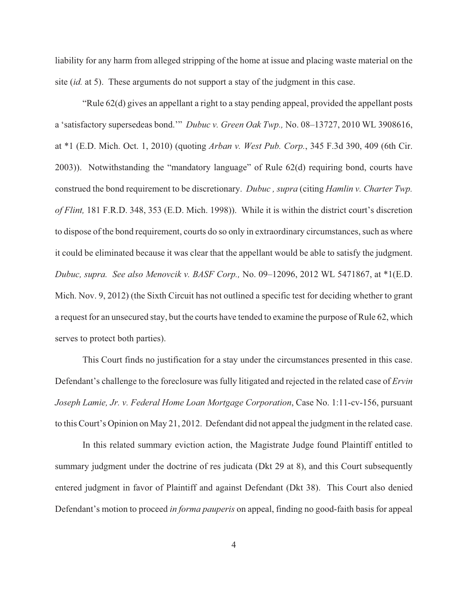liability for any harm from alleged stripping of the home at issue and placing waste material on the site (*id.* at 5). These arguments do not support a stay of the judgment in this case.

"Rule 62(d) gives an appellant a right to a stay pending appeal, provided the appellant posts a 'satisfactory supersedeas bond.'" *Dubuc v. Green Oak Twp.,* No. 08–13727, 2010 WL 3908616, at \*1 (E.D. Mich. Oct. 1, 2010) (quoting *Arban v. West Pub. Corp.*, 345 F.3d 390, 409 (6th Cir. 2003)). Notwithstanding the "mandatory language" of Rule 62(d) requiring bond, courts have construed the bond requirement to be discretionary. *Dubuc , supra* (citing *Hamlin v. Charter Twp. of Flint,* 181 F.R.D. 348, 353 (E.D. Mich. 1998)). While it is within the district court's discretion to dispose of the bond requirement, courts do so only in extraordinary circumstances, such as where it could be eliminated because it was clear that the appellant would be able to satisfy the judgment. *Dubuc, supra. See also Menovcik v. BASF Corp.,* No. 09–12096, 2012 WL 5471867, at \*1(E.D. Mich. Nov. 9, 2012) (the Sixth Circuit has not outlined a specific test for deciding whether to grant a request for an unsecured stay, but the courts have tended to examine the purpose of Rule 62, which serves to protect both parties).

This Court finds no justification for a stay under the circumstances presented in this case. Defendant's challenge to the foreclosure was fully litigated and rejected in the related case of *Ervin Joseph Lamie, Jr. v. Federal Home Loan Mortgage Corporation*, Case No. 1:11-cv-156, pursuant to this Court's Opinion on May 21, 2012. Defendant did not appeal the judgment in the related case.

In this related summary eviction action, the Magistrate Judge found Plaintiff entitled to summary judgment under the doctrine of res judicata (Dkt 29 at 8), and this Court subsequently entered judgment in favor of Plaintiff and against Defendant (Dkt 38). This Court also denied Defendant's motion to proceed *in forma pauperis* on appeal, finding no good-faith basis for appeal